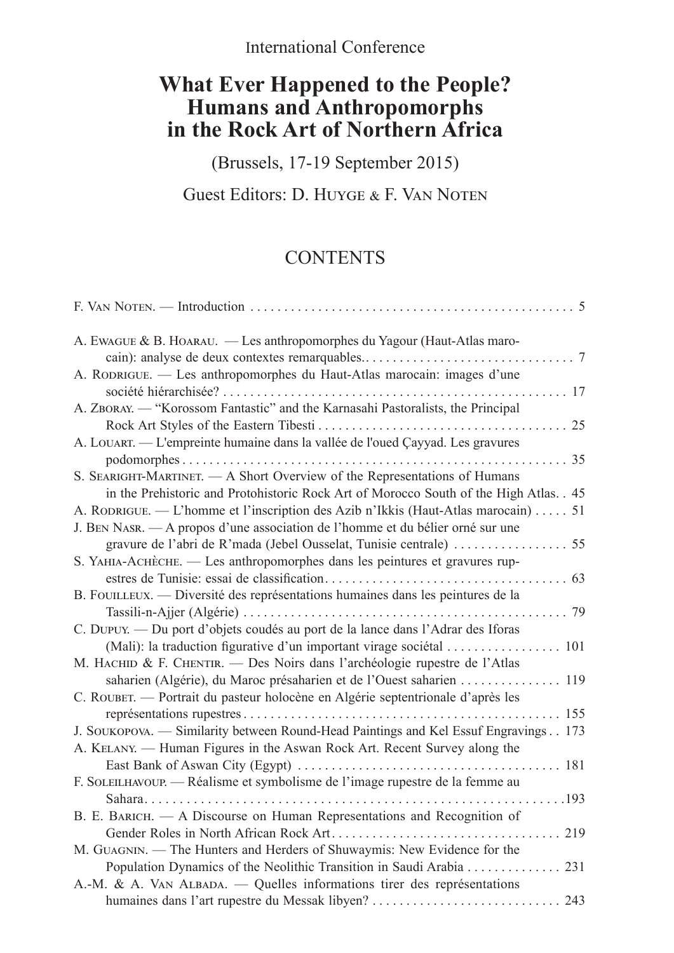## International Conference

## **What Ever Happened to the People? Humans and Anthropomorphs in the Rock Art of Northern Africa**

(Brussels, 17-19 September 2015)

Guest Editors: D. HUYGE & F. VAN NOTEN

## **CONTENTS**

| A. EWAGUE & B. HOARAU. — Les anthropomorphes du Yagour (Haut-Atlas maro-               |  |
|----------------------------------------------------------------------------------------|--|
|                                                                                        |  |
| A. RODRIGUE. - Les anthropomorphes du Haut-Atlas marocain: images d'une<br>. 17        |  |
| A. ZBORAY. — "Korossom Fantastic" and the Karnasahi Pastoralists, the Principal        |  |
|                                                                                        |  |
| A. LOUART. — L'empreinte humaine dans la vallée de l'oued Çayyad. Les gravures         |  |
| S. SEARIGHT-MARTINET. - A Short Overview of the Representations of Humans              |  |
| in the Prehistoric and Protohistoric Rock Art of Morocco South of the High Atlas. . 45 |  |
| A. RODRIGUE. — L'homme et l'inscription des Azib n'Ikkis (Haut-Atlas marocain)  51     |  |
| J. BEN NASR. — A propos d'une association de l'homme et du bélier orné sur une         |  |
|                                                                                        |  |
| S. YAHIA-ACHÈCHE. - Les anthropomorphes dans les peintures et gravures rup-            |  |
|                                                                                        |  |
| B. FOUILLEUX. — Diversité des représentations humaines dans les peintures de la        |  |
|                                                                                        |  |
| C. DUPUY. — Du port d'objets coudés au port de la lance dans l'Adrar des Iforas        |  |
|                                                                                        |  |
| M. HACHID & F. CHENTIR. — Des Noirs dans l'archéologie rupestre de l'Atlas             |  |
| saharien (Algérie), du Maroc présaharien et de l'Ouest saharien  119                   |  |
| C. ROUBET. — Portrait du pasteur holocène en Algérie septentrionale d'après les        |  |
|                                                                                        |  |
| J. SOUKOPOVA. — Similarity between Round-Head Paintings and Kel Essuf Engravings 173   |  |
| A. KELANY. — Human Figures in the Aswan Rock Art. Recent Survey along the              |  |
| East Bank of Aswan City (Egypt)                                                        |  |
| F. SOLEILHAVOUP. — Réalisme et symbolisme de l'image rupestre de la femme au           |  |
|                                                                                        |  |
| B. E. BARICH. — A Discourse on Human Representations and Recognition of                |  |
|                                                                                        |  |
| M. GUAGNIN. - The Hunters and Herders of Shuwaymis: New Evidence for the               |  |
| Population Dynamics of the Neolithic Transition in Saudi Arabia 231                    |  |
| A.-M. & A. VAN ALBADA. — Quelles informations tirer des représentations                |  |
| humaines dans l'art rupestre du Messak libyen?  243                                    |  |